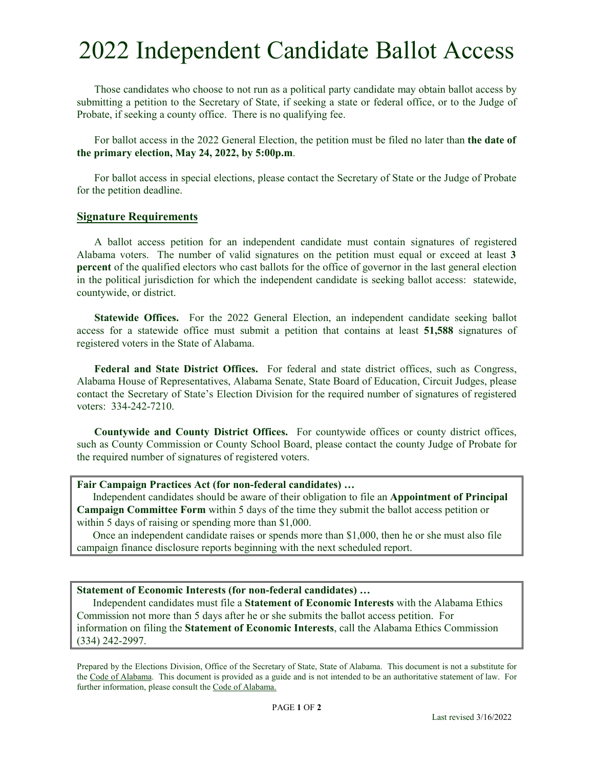# 2022 Independent Candidate Ballot Access

Those candidates who choose to not run as a political party candidate may obtain ballot access by submitting a petition to the Secretary of State, if seeking a state or federal office, or to the Judge of Probate, if seeking a county office. There is no qualifying fee.

For ballot access in the 2022 General Election, the petition must be filed no later than **the date of the primary election, May 24, 2022, by 5:00p.m**.

For ballot access in special elections, please contact the Secretary of State or the Judge of Probate for the petition deadline.

#### **Signature Requirements**

A ballot access petition for an independent candidate must contain signatures of registered Alabama voters. The number of valid signatures on the petition must equal or exceed at least **3 percent** of the qualified electors who cast ballots for the office of governor in the last general election in the political jurisdiction for which the independent candidate is seeking ballot access: statewide, countywide, or district.

**Statewide Offices.** For the 2022 General Election, an independent candidate seeking ballot access for a statewide office must submit a petition that contains at least **51,588** signatures of registered voters in the State of Alabama.

**Federal and State District Offices.** For federal and state district offices, such as Congress, Alabama House of Representatives, Alabama Senate, State Board of Education, Circuit Judges, please contact the Secretary of State's Election Division for the required number of signatures of registered voters: 334-242-7210.

**Countywide and County District Offices.** For countywide offices or county district offices, such as County Commission or County School Board, please contact the county Judge of Probate for the required number of signatures of registered voters.

### **Fair Campaign Practices Act (for non-federal candidates) …**

 Independent candidates should be aware of their obligation to file an **Appointment of Principal Campaign Committee Form** within 5 days of the time they submit the ballot access petition or within 5 days of raising or spending more than \$1,000.

 Once an independent candidate raises or spends more than \$1,000, then he or she must also file campaign finance disclosure reports beginning with the next scheduled report.

### **Statement of Economic Interests (for non-federal candidates) …**

 Independent candidates must file a **Statement of Economic Interests** with the Alabama Ethics Commission not more than 5 days after he or she submits the ballot access petition. For information on filing the **Statement of Economic Interests**, call the Alabama Ethics Commission (334) 242-2997.

Prepared by the Elections Division, Office of the Secretary of State, State of Alabama. This document is not a substitute for the Code of Alabama. This document is provided as a guide and is not intended to be an authoritative statement of law. For further information, please consult the Code of Alabama.